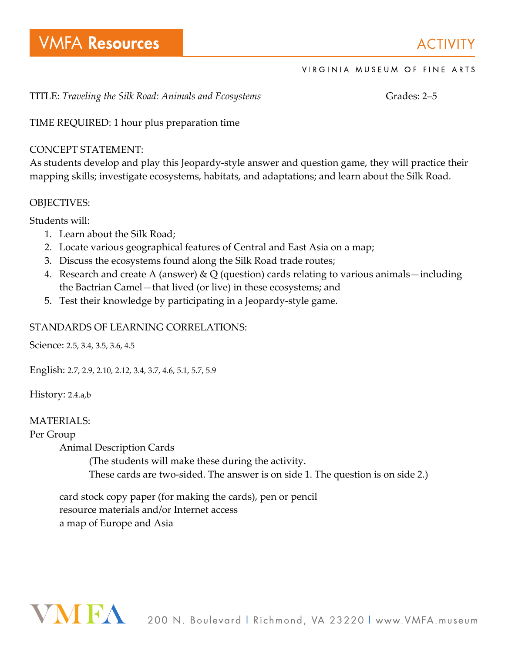**ACTIVITY** 

### VIRGINIA MUSEUM OF FINE ARTS

TITLE: *Traveling the Silk Road: Animals and Ecosystems* Gramman Grades: 2-5

TIME REQUIRED: 1 hour plus preparation time

### CONCEPT STATEMENT:

As students develop and play this Jeopardy-style answer and question game, they will practice their mapping skills; investigate ecosystems, habitats, and adaptations; and learn about the Silk Road.

### OBJECTIVES:

Students will:

- 1. Learn about the Silk Road;
- 2. Locate various geographical features of Central and East Asia on a map;
- 3. Discuss the ecosystems found along the Silk Road trade routes;
- 4. Research and create A (answer) & Q (question) cards relating to various animals—including the Bactrian Camel—that lived (or live) in these ecosystems; and
- 5. Test their knowledge by participating in a Jeopardy-style game.

### STANDARDS OF LEARNING CORRELATIONS:

Science: 2.5, 3.4, 3.5, 3.6, 4.5

English: 2.7, 2.9, 2.10, 2.12, 3.4, 3.7, 4.6, 5.1, 5.7, 5.9

History: 2.4.a,b

### MATERIALS:

### Per Group

Animal Description Cards

(The students will make these during the activity.

These cards are two-sided. The answer is on side 1. The question is on side 2.)

card stock copy paper (for making the cards), pen or pencil resource materials and/or Internet access a map of Europe and Asia

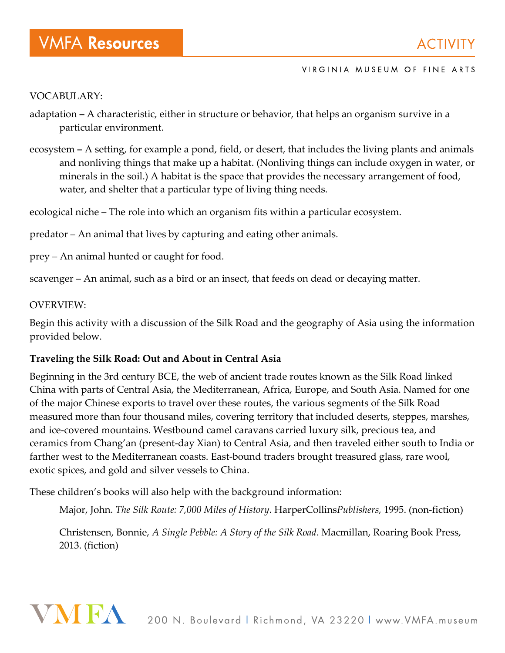### VOCABULARY:

- adaptation **–** A characteristic, either in structure or behavior, that helps an organism survive in a particular environment.
- ecosystem **–** A setting, for example a pond, field, or desert, that includes the living plants and animals and nonliving things that make up a habitat. (Nonliving things can include oxygen in water, or minerals in the soil.) A habitat is the space that provides the necessary arrangement of food, water, and shelter that a particular type of living thing needs.

ecological niche – The role into which an organism fits within a particular ecosystem.

predator – An animal that lives by capturing and eating other animals.

prey – An animal hunted or caught for food.

scavenger – An animal, such as a bird or an insect, that feeds on dead or decaying matter.

### OVERVIEW:

Begin this activity with a discussion of the Silk Road and the geography of Asia using the information provided below.

### **Traveling the Silk Road: Out and About in Central Asia**

Beginning in the 3rd century BCE, the web of ancient trade routes known as the Silk Road linked China with parts of Central Asia, the Mediterranean, Africa, Europe, and South Asia. Named for one of the major Chinese exports to travel over these routes, the various segments of the Silk Road measured more than four thousand miles, covering territory that included deserts, steppes, marshes, and ice-covered mountains. Westbound camel caravans carried luxury silk, precious tea, and ceramics from Chang'an (present-day Xian) to Central Asia, and then traveled either south to India or farther west to the Mediterranean coasts. East-bound traders brought treasured glass, rare wool, exotic spices, and gold and silver vessels to China.

These children's books will also help with the background information:

Major, John. *The Silk Route: 7,000 Miles of History*. HarperCollins*Publishers,* 1995. (non-fiction)

Christensen, Bonnie, *A Single Pebble: A Story of the Silk Road*. Macmillan, Roaring Book Press, 2013. (fiction)

# VNIEA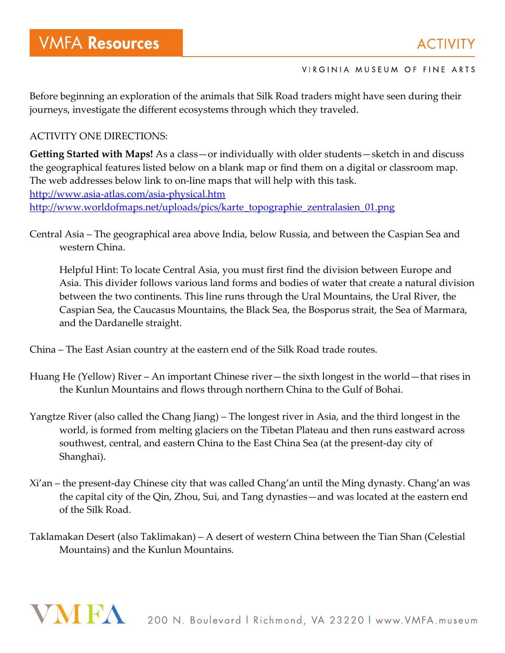Before beginning an exploration of the animals that Silk Road traders might have seen during their journeys, investigate the different ecosystems through which they traveled.

### ACTIVITY ONE DIRECTIONS:

**Getting Started with Maps!** As a class—or individually with older students—sketch in and discuss the geographical features listed below on a blank map or find them on a digital or classroom map. The web addresses below link to on-line maps that will help with this task. http://www.asia-atlas.com/asia-physical.htm http://www.worldofmaps.net/uploads/pics/karte\_topographie\_zentralasien\_01.png

Central Asia – The geographical area above India, below Russia, and between the Caspian Sea and western China.

Helpful Hint: To locate Central Asia, you must first find the division between Europe and Asia. This divider follows various land forms and bodies of water that create a natural division between the two continents. This line runs through the Ural Mountains, the Ural River, the Caspian Sea, the Caucasus Mountains, the Black Sea, the Bosporus strait, the Sea of Marmara, and the Dardanelle straight.

China – The East Asian country at the eastern end of the Silk Road trade routes.

- Huang He (Yellow) River An important Chinese river—the sixth longest in the world—that rises in the Kunlun Mountains and flows through northern China to the Gulf of Bohai.
- Yangtze River (also called the Chang Jiang) The longest river in Asia, and the third longest in the world, is formed from melting glaciers on the Tibetan Plateau and then runs eastward across southwest, central, and eastern China to the East China Sea (at the present-day city of Shanghai).
- Xi'an the present-day Chinese city that was called Chang'an until the Ming dynasty. Chang'an was the capital city of the Qin, Zhou, Sui, and Tang dynasties—and was located at the eastern end of the Silk Road.
- Taklamakan Desert (also Taklimakan) A desert of western China between the Tian Shan (Celestial Mountains) and the Kunlun Mountains.

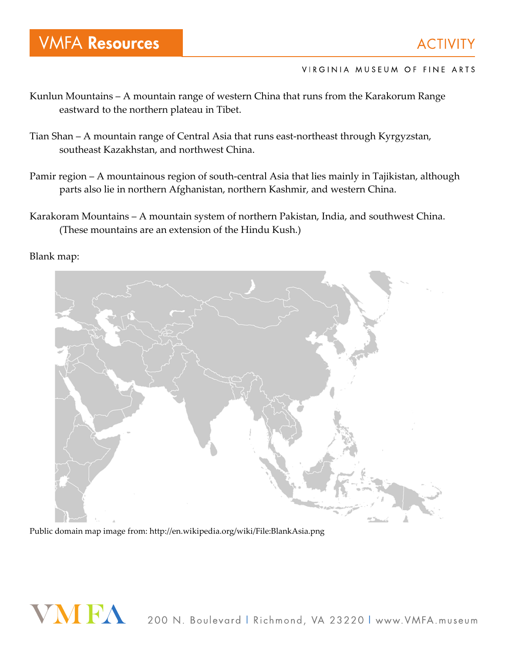- Kunlun Mountains A mountain range of western China that runs from the Karakorum Range eastward to the northern plateau in Tibet.
- Tian Shan A mountain range of Central Asia that runs east-northeast through Kyrgyzstan, southeast Kazakhstan, and northwest China.
- Pamir region A mountainous region of south-central Asia that lies mainly in Tajikistan, although parts also lie in northern Afghanistan, northern Kashmir, and western China.
- Karakoram Mountains A mountain system of northern Pakistan, India, and southwest China. (These mountains are an extension of the Hindu Kush.)

Blank map:



Public domain map image from: http://en.wikipedia.org/wiki/File:BlankAsia.png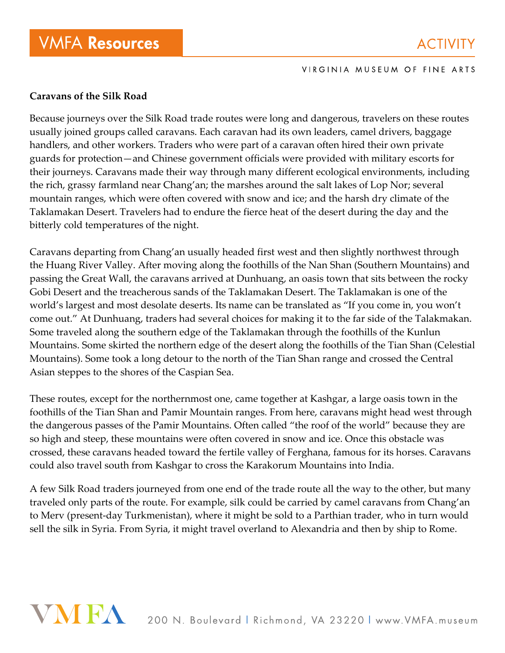### **Caravans of the Silk Road**

Because journeys over the Silk Road trade routes were long and dangerous, travelers on these routes usually joined groups called caravans. Each caravan had its own leaders, camel drivers, baggage handlers, and other workers. Traders who were part of a caravan often hired their own private guards for protection—and Chinese government officials were provided with military escorts for their journeys. Caravans made their way through many different ecological environments, including the rich, grassy farmland near Chang'an; the marshes around the salt lakes of Lop Nor; several mountain ranges, which were often covered with snow and ice; and the harsh dry climate of the Taklamakan Desert. Travelers had to endure the fierce heat of the desert during the day and the bitterly cold temperatures of the night.

Caravans departing from Chang'an usually headed first west and then slightly northwest through the Huang River Valley. After moving along the foothills of the Nan Shan (Southern Mountains) and passing the Great Wall, the caravans arrived at Dunhuang, an oasis town that sits between the rocky Gobi Desert and the treacherous sands of the Taklamakan Desert. The Taklamakan is one of the world's largest and most desolate deserts. Its name can be translated as "If you come in, you won't come out." At Dunhuang, traders had several choices for making it to the far side of the Talakmakan. Some traveled along the southern edge of the Taklamakan through the foothills of the Kunlun Mountains. Some skirted the northern edge of the desert along the foothills of the Tian Shan (Celestial Mountains). Some took a long detour to the north of the Tian Shan range and crossed the Central Asian steppes to the shores of the Caspian Sea.

These routes, except for the northernmost one, came together at Kashgar, a large oasis town in the foothills of the Tian Shan and Pamir Mountain ranges. From here, caravans might head west through the dangerous passes of the Pamir Mountains. Often called "the roof of the world" because they are so high and steep, these mountains were often covered in snow and ice. Once this obstacle was crossed, these caravans headed toward the fertile valley of Ferghana, famous for its horses. Caravans could also travel south from Kashgar to cross the Karakorum Mountains into India.

A few Silk Road traders journeyed from one end of the trade route all the way to the other, but many traveled only parts of the route. For example, silk could be carried by camel caravans from Chang'an to Merv (present-day Turkmenistan), where it might be sold to a Parthian trader, who in turn would sell the silk in Syria. From Syria, it might travel overland to Alexandria and then by ship to Rome.

# VNIEA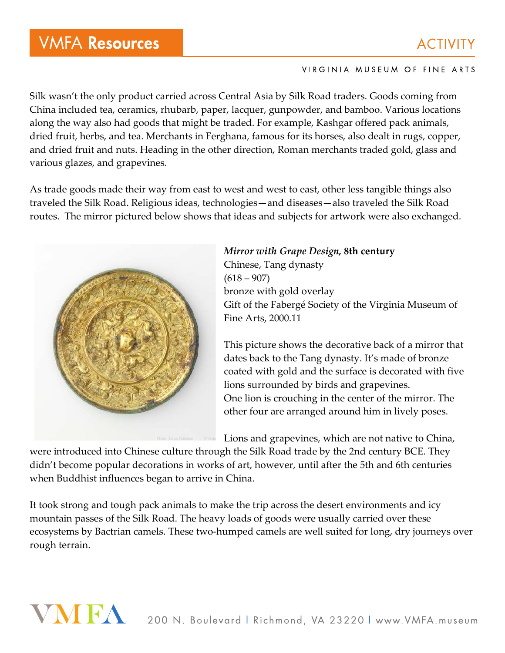## **VMFA Resources**

### **ACTIVITY**

### VIRGINIA MUSEUM OF FINE ARTS

Silk wasn't the only product carried across Central Asia by Silk Road traders. Goods coming from China included tea, ceramics, rhubarb, paper, lacquer, gunpowder, and bamboo. Various locations along the way also had goods that might be traded. For example, Kashgar offered pack animals, dried fruit, herbs, and tea. Merchants in Ferghana, famous for its horses, also dealt in rugs, copper, and dried fruit and nuts. Heading in the other direction, Roman merchants traded gold, glass and various glazes, and grapevines.

As trade goods made their way from east to west and west to east, other less tangible things also traveled the Silk Road. Religious ideas, technologies—and diseases—also traveled the Silk Road routes. The mirror pictured below shows that ideas and subjects for artwork were also exchanged.



*Mirror with Grape Design,* **8th century** Chinese, Tang dynasty  $(618 - 907)$ bronze with gold overlay Gift of the Fabergé Society of the Virginia Museum of Fine Arts, 2000.11

This picture shows the decorative back of a mirror that dates back to the Tang dynasty. It's made of bronze coated with gold and the surface is decorated with five lions surrounded by birds and grapevines. One lion is crouching in the center of the mirror. The other four are arranged around him in lively poses.

Lions and grapevines, which are not native to China,

were introduced into Chinese culture through the Silk Road trade by the 2nd century BCE. They didn't become popular decorations in works of art, however, until after the 5th and 6th centuries when Buddhist influences began to arrive in China.

It took strong and tough pack animals to make the trip across the desert environments and icy mountain passes of the Silk Road. The heavy loads of goods were usually carried over these ecosystems by Bactrian camels. These two-humped camels are well suited for long, dry journeys over rough terrain.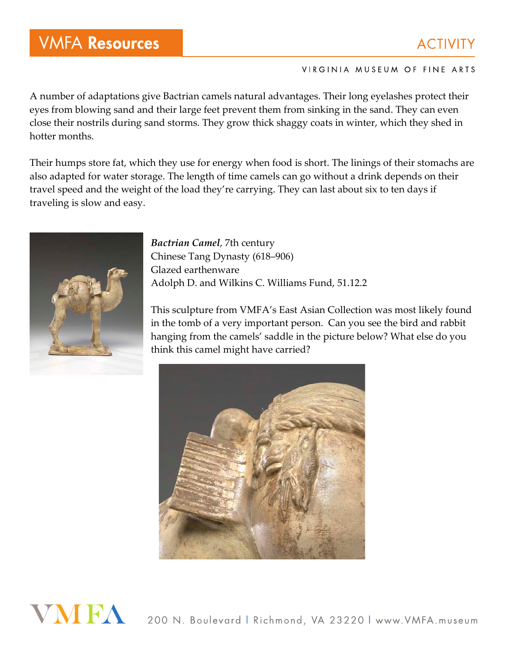## **VMFA Resources**

### **ACTIVITY**

### VIRGINIA MUSEUM OF FINE ARTS

A number of adaptations give Bactrian camels natural advantages. Their long eyelashes protect their eyes from blowing sand and their large feet prevent them from sinking in the sand. They can even close their nostrils during sand storms. They grow thick shaggy coats in winter, which they shed in hotter months.

Their humps store fat, which they use for energy when food is short. The linings of their stomachs are also adapted for water storage. The length of time camels can go without a drink depends on their travel speed and the weight of the load they're carrying. They can last about six to ten days if traveling is slow and easy.



*Bactrian Camel*, 7th century Chinese Tang Dynasty (618–906) Glazed earthenware Adolph D. and Wilkins C. Williams Fund, 51.12.2

This sculpture from VMFA's East Asian Collection was most likely found in the tomb of a very important person. Can you see the bird and rabbit hanging from the camels' saddle in the picture below? What else do you think this camel might have carried?



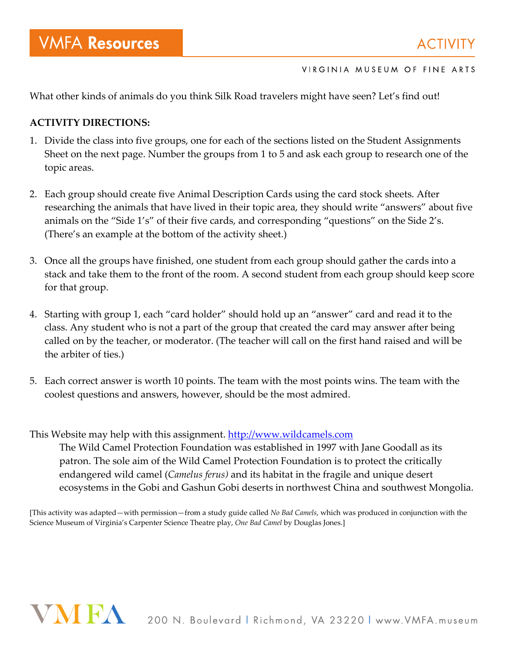What other kinds of animals do you think Silk Road travelers might have seen? Let's find out!

### **ACTIVITY DIRECTIONS:**

- 1. Divide the class into five groups, one for each of the sections listed on the Student Assignments Sheet on the next page. Number the groups from 1 to 5 and ask each group to research one of the topic areas.
- 2. Each group should create five Animal Description Cards using the card stock sheets. After researching the animals that have lived in their topic area, they should write "answers" about five animals on the "Side 1's" of their five cards, and corresponding "questions" on the Side 2's. (There's an example at the bottom of the activity sheet.)
- 3. Once all the groups have finished, one student from each group should gather the cards into a stack and take them to the front of the room. A second student from each group should keep score for that group.
- 4. Starting with group 1, each "card holder" should hold up an "answer" card and read it to the class. Any student who is not a part of the group that created the card may answer after being called on by the teacher, or moderator. (The teacher will call on the first hand raised and will be the arbiter of ties.)
- 5. Each correct answer is worth 10 points. The team with the most points wins. The team with the coolest questions and answers, however, should be the most admired.

This Website may help with this assignment. http://www.wildcamels.com

The Wild Camel Protection Foundation was established in 1997 with Jane Goodall as its patron. The sole aim of the Wild Camel Protection Foundation is to protect the critically endangered wild camel (*Camelus ferus)* and its habitat in the fragile and unique desert ecosystems in the Gobi and Gashun Gobi deserts in northwest China and southwest Mongolia.

[This activity was adapted—with permission—from a study guide called *No Bad Camels*, which was produced in conjunction with the Science Museum of Virginia's Carpenter Science Theatre play, *One Bad Camel* by Douglas Jones.]

# VMFA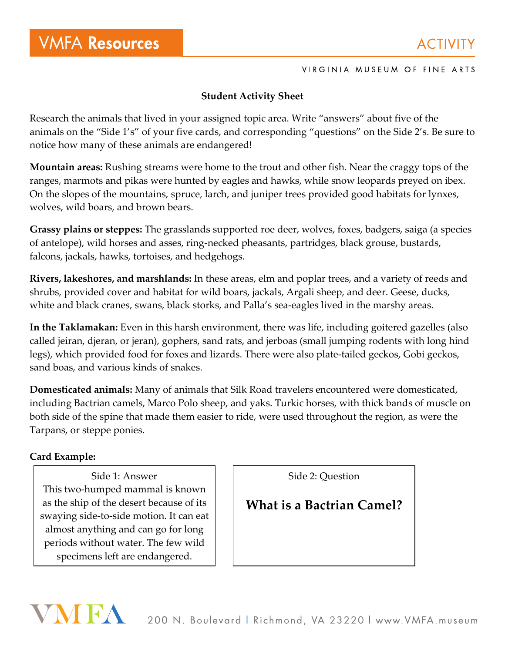### **Student Activity Sheet**

Research the animals that lived in your assigned topic area. Write "answers" about five of the animals on the "Side 1's" of your five cards, and corresponding "questions" on the Side 2's. Be sure to notice how many of these animals are endangered!

**Mountain areas:** Rushing streams were home to the trout and other fish. Near the craggy tops of the ranges, marmots and pikas were hunted by eagles and hawks, while snow leopards preyed on ibex. On the slopes of the mountains, spruce, larch, and juniper trees provided good habitats for lynxes, wolves, wild boars, and brown bears.

**Grassy plains or steppes:** The grasslands supported roe deer, wolves, foxes, badgers, saiga (a species of antelope), wild horses and asses, ring-necked pheasants, partridges, black grouse, bustards, falcons, jackals, hawks, tortoises, and hedgehogs.

**Rivers, lakeshores, and marshlands:** In these areas, elm and poplar trees, and a variety of reeds and shrubs, provided cover and habitat for wild boars, jackals, Argali sheep, and deer. Geese, ducks, white and black cranes, swans, black storks, and Palla's sea-eagles lived in the marshy areas.

**In the Taklamakan:** Even in this harsh environment, there was life, including goitered gazelles (also called jeiran, djeran, or jeran), gophers, sand rats, and jerboas (small jumping rodents with long hind legs), which provided food for foxes and lizards. There were also plate-tailed geckos, Gobi geckos, sand boas, and various kinds of snakes.

**Domesticated animals:** Many of animals that Silk Road travelers encountered were domesticated, including Bactrian camels, Marco Polo sheep, and yaks. Turkic horses, with thick bands of muscle on both side of the spine that made them easier to ride, were used throughout the region, as were the Tarpans, or steppe ponies.

### **Card Example:**

VNIFA

Side 1: Answer This two-humped mammal is known as the ship of the desert because of its swaying side-to-side motion. It can eat almost anything and can go for long periods without water. The few wild specimens left are endangered.

Side 2: Question

### **What is a Bactrian Camel?**